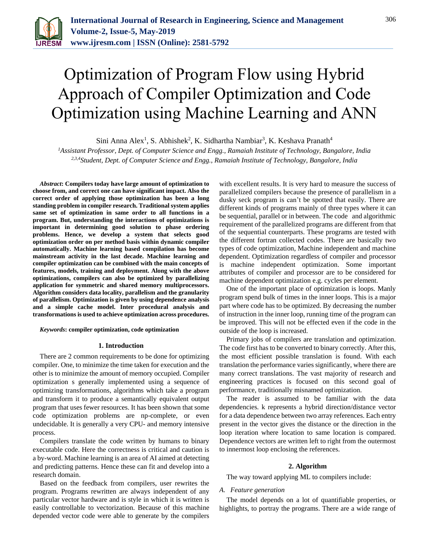

# Optimization of Program Flow using Hybrid Approach of Compiler Optimization and Code Optimization using Machine Learning and ANN

Sini Anna Alex<sup>1</sup>, S. Abhishek<sup>2</sup>, K. Sidhartha Nambiar<sup>3</sup>, K. Keshava Pranath<sup>4</sup>

*<sup>1</sup>Assistant Professor, Dept. of Computer Science and Engg., Ramaiah Institute of Technology, Bangalore, India 2,3,4Student, Dept. of Computer Science and Engg., Ramaiah Institute of Technology, Bangalore, India*

*Abstract***: Compilers today have large amount of optimization to choose from, and correct one can have significant impact. Also the correct order of applying those optimization has been a long standing problem in compiler research. Traditional system applies same set of optimization in same order to all functions in a program. But, understanding the interactions of optimizations is important in determining good solution to phase ordering problems. Hence, we develop a system that selects good optimization order on per method basis within dynamic compiler automatically. Machine learning based compilation has become mainstream activity in the last decade. Machine learning and compiler optimization can be combined with the main concepts of features, models, training and deployment. Along with the above optimizations, compilers can also be optimized by parallelizing application for symmetric and shared memory multiprocessors. Algorithm considers data locality, parallelism and the granularity of parallelism. Optimization is given by using dependence analysis and a simple cache model. Inter procedural analysis and transformations is used to achieve optimization across procedures.**

*Keywords***: compiler optimization, code optimization**

#### **1. Introduction**

There are 2 common requirements to be done for optimizing compiler. One, to minimize the time taken for execution and the other is to minimize the amount of memory occupied. Compiler optimization s generally implemented using a sequence of optimizing transformations, algorithms which take a program and transform it to produce a semantically equivalent output program that uses fewer resources. It has been shown that some code optimization problems are np-complete, or even undecidable. It is generally a very CPU- and memory intensive process.

Compilers translate the code written by humans to binary executable code. Here the correctness is critical and caution is a by-word. Machine learning is an area of AI aimed at detecting and predicting patterns. Hence these can fit and develop into a research domain.

Based on the feedback from compilers, user rewrites the program. Programs rewritten are always independent of any particular vector hardware and is style in which it is written is easily controllable to vectorization. Because of this machine depended vector code were able to generate by the compilers

with excellent results. It is very hard to measure the success of parallelized compilers because the presence of parallelism in a dusky seck program is can't be spotted that easily. There are different kinds of programs mainly of three types where it can be sequential, parallel or in between. The code and algorithmic requirement of the parallelized programs are different from that of the sequential counterparts. These programs are tested with the different fortran collected codes. There are basically two types of code optimization, Machine independent and machine dependent. Optimization regardless of compiler and processor is machine independent optimization. Some important attributes of compiler and processor are to be considered for machine dependent optimization e.g. cycles per element.

One of the important place of optimization is loops. Manly program spend bulk of times in the inner loops. This is a major part where code has to be optimized. By decreasing the number of instruction in the inner loop, running time of the program can be improved. This will not be effected even if the code in the outside of the loop is increased.

Primary jobs of compilers are translation and optimization. The code first has to be converted to binary correctly. After this, the most efficient possible translation is found. With each translation the performance varies significantly, where there are many correct translations. The vast majority of research and engineering practices is focused on this second goal of performance, traditionally misnamed optimization.

The reader is assumed to be familiar with the data dependencies. k represents a hybrid direction/distance vector for a data dependence between two array references. Each entry present in the vector gives the distance or the direction in the loop iteration where location to same location is compared. Dependence vectors are written left to right from the outermost to innermost loop enclosing the references.

#### **2. Algorithm**

The way toward applying ML to compilers include:

#### *A. Feature generation*

The model depends on a lot of quantifiable properties, or highlights, to portray the programs. There are a wide range of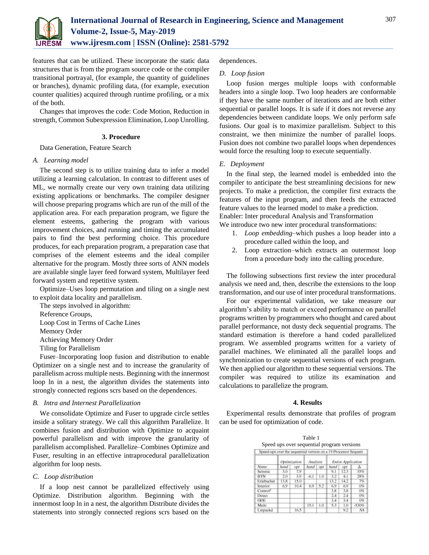

features that can be utilized. These incorporate the static data structures that is from the program source code or the compiler transitional portrayal, (for example, the quantity of guidelines or branches), dynamic profiling data, (for example, execution counter qualities) acquired through runtime profiling, or a mix of the both.

Changes that improves the code: Code Motion, Reduction in strength, Common Subexpression Elimination, Loop Unrolling.

## **3. Procedure**

Data Generation, Feature Search

#### *A. Learning model*

The second step is to utilize training data to infer a model utilizing a learning calculation. In contrast to different uses of ML, we normally create our very own training data utilizing existing applications or benchmarks. The compiler designer will choose preparing programs which are run of the mill of the application area. For each preparation program, we figure the element esteems, gathering the program with various improvement choices, and running and timing the accumulated pairs to find the best performing choice. This procedure produces, for each preparation program, a preparation case that comprises of the element esteems and the ideal compiler alternative for the program. Mostly three sorts of ANN models are available single layer feed forward system, Multilayer feed forward system and repetitive system.

Optimize–Uses loop permutation and tiling on a single nest to exploit data locality and parallelism.

The steps involved in algorithm:

Reference Groups,

Loop Cost in Terms of Cache Lines

Memory Order

Achieving Memory Order

Tiling for Parallelism

Fuser–Incorporating loop fusion and distribution to enable Optimizer on a single nest and to increase the granularity of parallelism across multiple nests. Beginning with the innermost loop ln in a nest, the algorithm divides the statements into strongly connected regions scrs based on the dependences.

# *B. Intra and Internest Parallelization*

We consolidate Optimize and Fuser to upgrade circle settles inside a solitary strategy. We call this algorithm Parallelize. It combines fusion and distribution with Optimize to acquaint powerful parallelism and with improve the granularity of parallelism accomplished. Parallelize–Combines Optimize and Fuser, resulting in an effective intraprocedural parallelization algorithm for loop nests.

# *C. Loop distribution*

If a loop nest cannot be parallelized effectively using Optimize. Distribution algorithm. Beginning with the innermost loop ln in a nest, the algorithm Distribute divides the statements into strongly connected regions scrs based on the

dependences.

## *D. Loop fusion*

Loop fusion merges multiple loops with conformable headers into a single loop. Two loop headers are conformable if they have the same number of iterations and are both either sequential or parallel loops. It is safe if it does not reverse any dependencies between candidate loops. We only perform safe fusions. Our goal is to maximize parallelism. Subject to this constraint, we then minimize the number of parallel loops. Fusion does not combine two parallel loops when dependences would force the resulting loop to execute sequentially.

## *E. Deployment*

In the final step, the learned model is embedded into the compiler to anticipate the best streamlining decisions for new projects. To make a prediction, the compiler first extracts the features of the input program, and then feeds the extracted feature values to the learned model to make a prediction. Enabler: Inter procedural Analysis and Transformation

We introduce two new inter procedural transformations:

- 1. *Loop embedding–*which pushes a loop header into a procedure called within the loop, and
- 2. Loop extraction–which extracts an outermost loop from a procedure body into the calling procedure.

The following subsections first review the inter procedural analysis we need and, then, describe the extensions to the loop transformation, and our use of inter procedural transformations.

For our experimental validation, we take measure our algorithm's ability to match or exceed performance on parallel programs written by programmers who thought and cared about parallel performance, not dusty deck sequential programs. The standard estimation is therefore a hand coded parallelized program. We assembled programs written for a variety of parallel machines. We eliminated all the parallel loops and synchronization to create sequential versions of each program. We then applied our algorithm to these sequential versions. The compiler was required to utilize its examination and calculations to parallelize the program.

#### **4. Results**

Experimental results demonstrate that profiles of program can be used for optimization of code.

| Table 1                                    |  |
|--------------------------------------------|--|
| Speed ups over sequential program versions |  |

| Speed-ups over the sequential version on a 19 Processor Sequent |              |      |          |     |                           |      |         |  |  |
|-----------------------------------------------------------------|--------------|------|----------|-----|---------------------------|------|---------|--|--|
| Name                                                            | Optimization |      | Analysis |     | <b>Entire Application</b> |      |         |  |  |
|                                                                 | hand         | opt  | hand     | opt | hand                      | opt  |         |  |  |
| Seismic                                                         | 3.0          | 7.9  |          |     | 9.1                       | 12.3 | 35%     |  |  |
| <b>BTN</b>                                                      | 2.0          | 3.9  | $-6.1$   | 1.0 | 3.2                       | 4.1  | 28%     |  |  |
| Erlebacher                                                      | 13.8         | 15.0 |          |     | 13.2                      | 14.2 | 7%      |  |  |
| Interior                                                        | 6.9          | 10.4 | 6.9      | 5.2 | 6.9                       | 6.9  | 0%      |  |  |
| Control <sup>®</sup>                                            |              |      |          |     | 3.8                       | 3.8  | 0%      |  |  |
| Direct                                                          |              |      |          |     | 2.4                       | 2.4  | 0%      |  |  |
| <b>ODE</b>                                                      |              |      |          |     | 3.4                       | 3.4  | 0%      |  |  |
| Multi                                                           |              |      | 15.1     | 1.0 | 5.3                       | 1.0  | $-530%$ |  |  |
| Linpackd                                                        |              | 16.5 |          |     |                           | 9.2  | NA      |  |  |